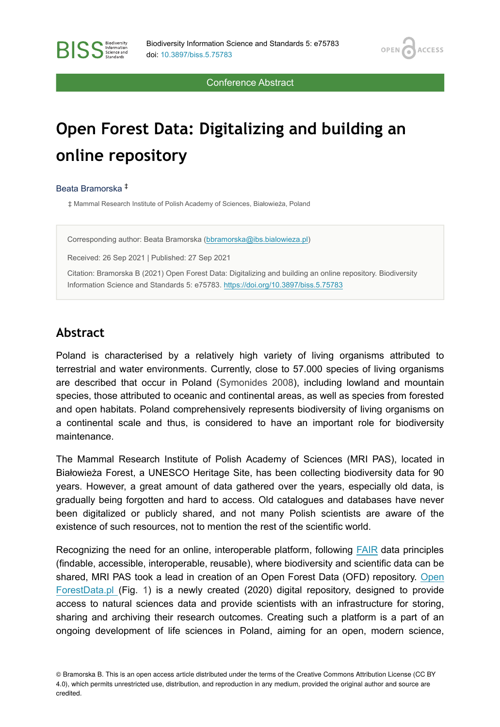**OPEN** 

**ACCESS** 

Conference Abstract

# **Open Forest Data: Digitalizing and building an online repository**

#### Beata Bramorska ‡

**BISS** Steince and

‡ Mammal Research Institute of Polish Academy of Sciences, Białowieża, Poland

Corresponding author: Beata Bramorska ([bbramorska@ibs.bialowieza.pl\)](mailto:bbramorska@ibs.bialowieza.pl)

Received: 26 Sep 2021 | Published: 27 Sep 2021

Citation: Bramorska B (2021) Open Forest Data: Digitalizing and building an online repository. Biodiversity Information Science and Standards 5: e75783.<https://doi.org/10.3897/biss.5.75783>

### **Abstract**

Poland is characterised by a relatively high variety of living organisms attributed to terrestrial and water environments. Currently, close to 57.000 species of living organisms are described that occur in Poland [\(Symonides 2008](#page-3-0)), including lowland and mountain species, those attributed to oceanic and continental areas, as well as species from forested and open habitats. Poland comprehensively represents biodiversity of living organisms on a continental scale and thus, is considered to have an important role for biodiversity maintenance.

The Mammal Research Institute of Polish Academy of Sciences (MRI PAS), located in Białowieża Forest, a UNESCO Heritage Site, has been collecting biodiversity data for 90 years. However, a great amount of data gathered over the years, especially old data, is gradually being forgotten and hard to access. Old catalogues and databases have never been digitalized or publicly shared, and not many Polish scientists are aware of the existence of such resources, not to mention the rest of the scientific world.

Recognizing the need for an online, interoperable platform, following [FAIR](https://www.go-fair.org/fair-principles/) data principles (findable, accessible, interoperable, reusable), where biodiversity and scientific data can be shared, MRI PAS took a lead in creation of an Open Forest Data (OFD) repository. [Open](https://openforestdata.pl) [ForestData.pl \(](https://openforestdata.pl)Fig. [1](#page-1-0)) is a newly created (2020) digital repository, designed to provide access to natural sciences data and provide scientists with an infrastructure for storing, sharing and archiving their research outcomes. Creating such a platform is a part of an ongoing development of life sciences in Poland, aiming for an open, modern science,

© Bramorska B. This is an open access article distributed under the terms of the Creative Commons Attribution License (CC BY 4.0), which permits unrestricted use, distribution, and reproduction in any medium, provided the original author and source are credited.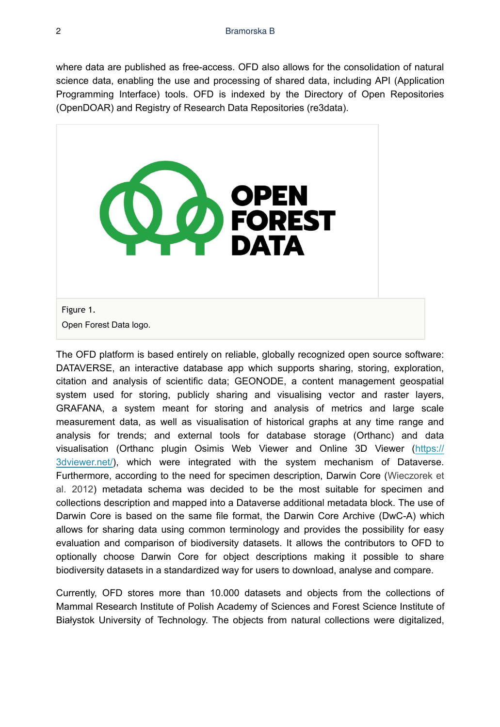where data are published as free-access. OFD also allows for the consolidation of natural science data, enabling the use and processing of shared data, including API (Application Programming Interface) tools. OFD is indexed by the Directory of Open Repositories (OpenDOAR) and Registry of Research Data Repositories (re3data).

<span id="page-1-0"></span>

Figure 1. Open Forest Data logo.

The OFD platform is based entirely on reliable, globally recognized open source software: DATAVERSE, an interactive database app which supports sharing, storing, exploration, citation and analysis of scientific data; GEONODE, a content management geospatial system used for storing, publicly sharing and visualising vector and raster layers, GRAFANA, a system meant for storing and analysis of metrics and large scale measurement data, as well as visualisation of historical graphs at any time range and analysis for trends; and external tools for database storage (Orthanc) and data visualisation (Orthanc plugin Osimis Web Viewer and Online 3D Viewer [\(https://](https://3dviewer.net/) [3dviewer.net/](https://3dviewer.net/)), which were integrated with the system mechanism of Dataverse. Furthermore, according to the need for specimen description, Darwin Core [\(Wieczorek et](#page-3-1) [al. 2012](#page-3-1)) metadata schema was decided to be the most suitable for specimen and collections description and mapped into a Dataverse additional metadata block. The use of Darwin Core is based on the same file format, the Darwin Core Archive (DwC-A) which allows for sharing data using common terminology and provides the possibility for easy evaluation and comparison of biodiversity datasets. It allows the contributors to OFD to optionally choose Darwin Core for object descriptions making it possible to share biodiversity datasets in a standardized way for users to download, analyse and compare.

Currently, OFD stores more than 10.000 datasets and objects from the collections of Mammal Research Institute of Polish Academy of Sciences and Forest Science Institute of Białystok University of Technology. The objects from natural collections were digitalized,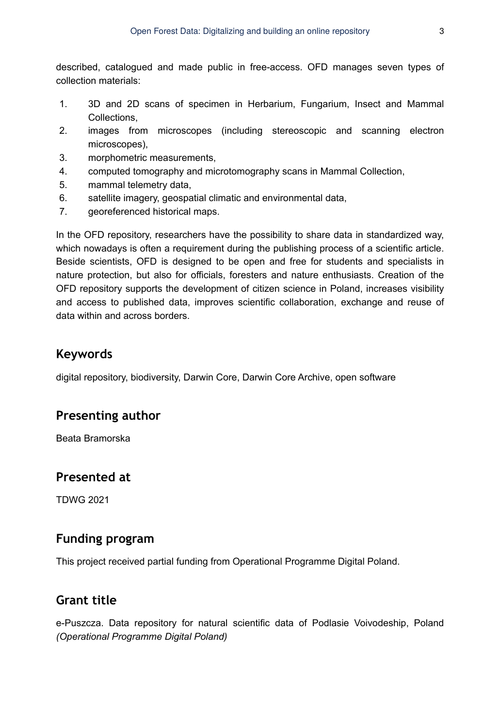described, catalogued and made public in free-access. OFD manages seven types of collection materials:

- 1. 3D and 2D scans of specimen in Herbarium, Fungarium, Insect and Mammal Collections,
- 2. images from microscopes (including stereoscopic and scanning electron microscopes),
- 3. morphometric measurements,
- 4. computed tomography and microtomography scans in Mammal Collection,
- 5. mammal telemetry data,
- 6. satellite imagery, geospatial climatic and environmental data,
- 7. georeferenced historical maps.

In the OFD repository, researchers have the possibility to share data in standardized way, which nowadays is often a requirement during the publishing process of a scientific article. Beside scientists, OFD is designed to be open and free for students and specialists in nature protection, but also for officials, foresters and nature enthusiasts. Creation of the OFD repository supports the development of citizen science in Poland, increases visibility and access to published data, improves scientific collaboration, exchange and reuse of data within and across borders.

#### **Keywords**

digital repository, biodiversity, Darwin Core, Darwin Core Archive, open software

### **Presenting author**

Beata Bramorska

#### **Presented at**

TDWG 2021

#### **Funding program**

This project received partial funding from Operational Programme Digital Poland.

#### **Grant title**

e-Puszcza. Data repository for natural scientific data of Podlasie Voivodeship, Poland *(Operational Programme Digital Poland)*